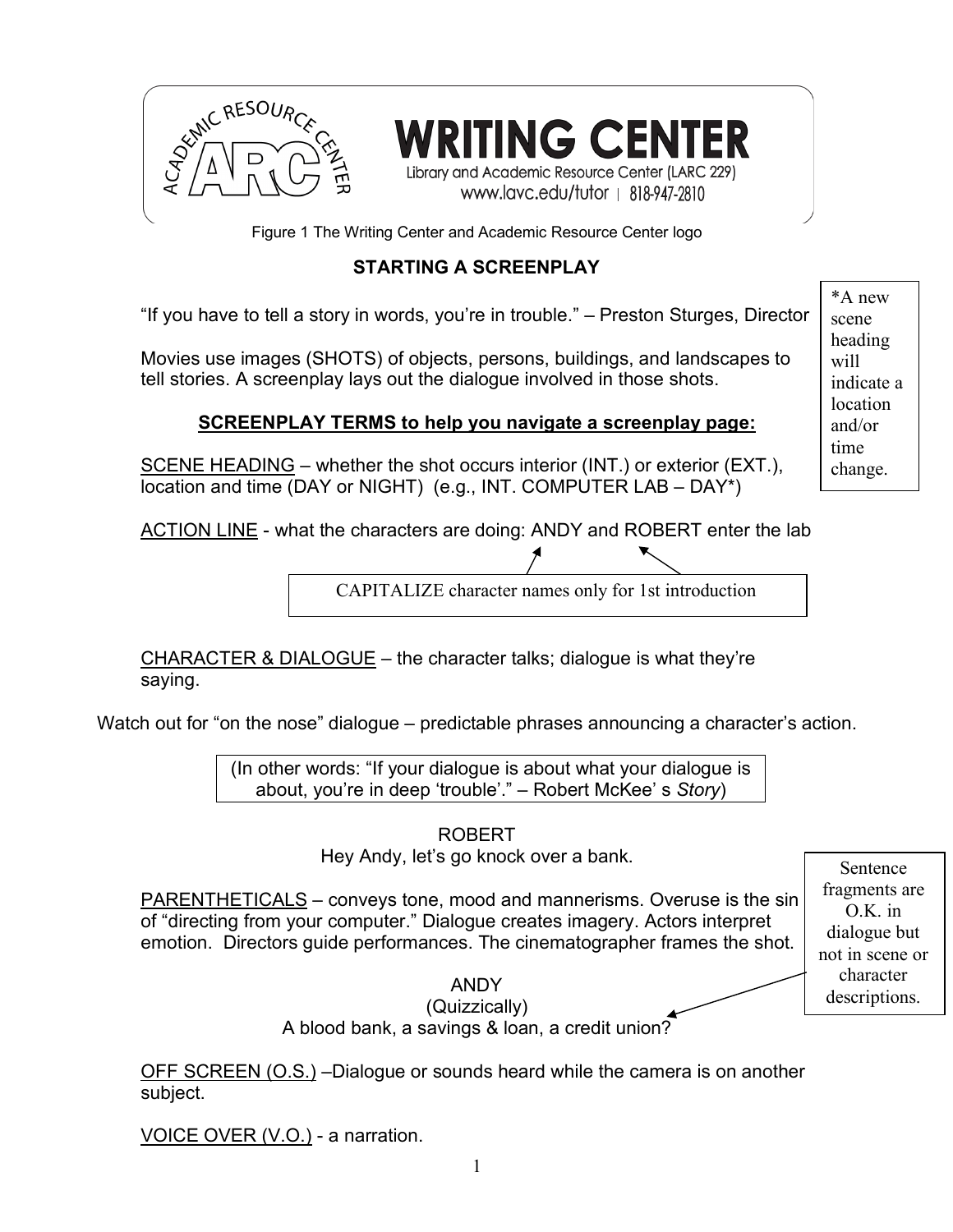

ING CENTER Library and Academic Resource Center (LARC 229)

www.lavc.edu/tutor | 818-947-2810

Figure 1 The Writing Center and Academic Resource Center logo

# **STARTING A SCREENPLAY**

"If you have to tell a story in words, you're in trouble." – Preston Sturges, Director

Movies use images (SHOTS) of objects, persons, buildings, and landscapes to tell stories. A screenplay lays out the dialogue involved in those shots.

## **SCREENPLAY TERMS to help you navigate a screenplay page:**

SCENE HEADING – whether the shot occurs interior (INT.) or exterior (EXT.), location and time (DAY or NIGHT) (e.g., INT. COMPUTER LAB – DAY\*)

ACTION LINE - what the characters are doing: ANDY and ROBERT enter the lab

CAPITALIZE character names only for 1st introduction

CHARACTER & DIALOGUE – the character talks; dialogue is what they're saying.

Watch out for "on the nose" dialogue – predictable phrases announcing a character's action.

(In other words: "If your dialogue is about what your dialogue is about, you're in deep 'trouble'." – Robert McKee' s *Story*)

ROBERT

Hey Andy, let's go knock over a bank.

PARENTHETICALS – conveys tone, mood and mannerisms. Overuse is the sin of "directing from your computer." Dialogue creates imagery. Actors interpret emotion. Directors guide performances. The cinematographer frames the shot.

Sentence fragments are O.K. in dialogue but not in scene or character descriptions.

ANDY (Quizzically) A blood bank, a savings & loan, a credit union?

OFF SCREEN (O.S.) –Dialogue or sounds heard while the camera is on another subject.

VOICE OVER (V.O.) - a narration.

\*A new scene heading will indicate a location and/or time change.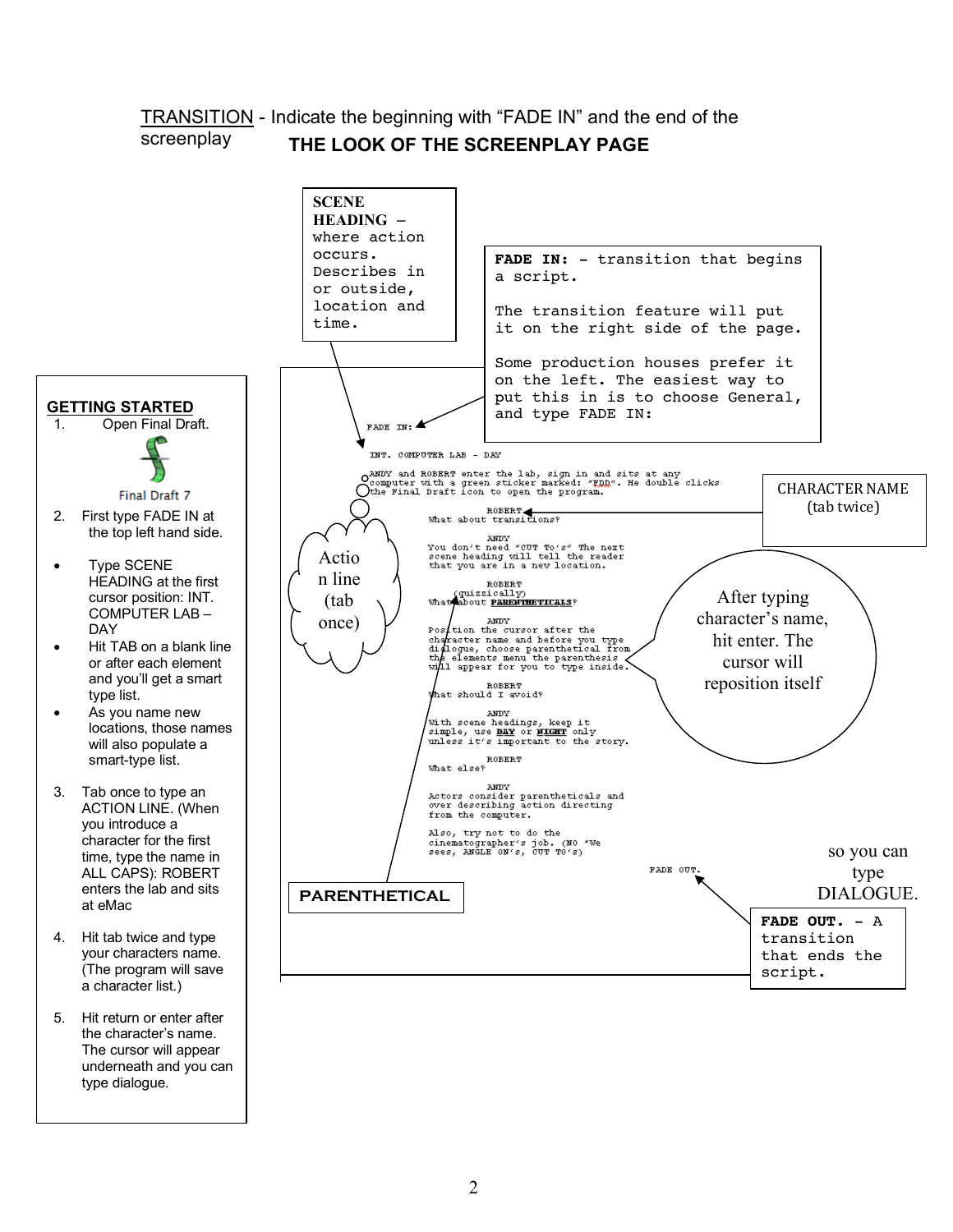#### TRANSITION - Indicate the beginning with "FADE IN" and the end of the screenplay **THE LOOK OF THE SCREENPLAY PAGE**



The cursor will appear underneath and you can type dialogue.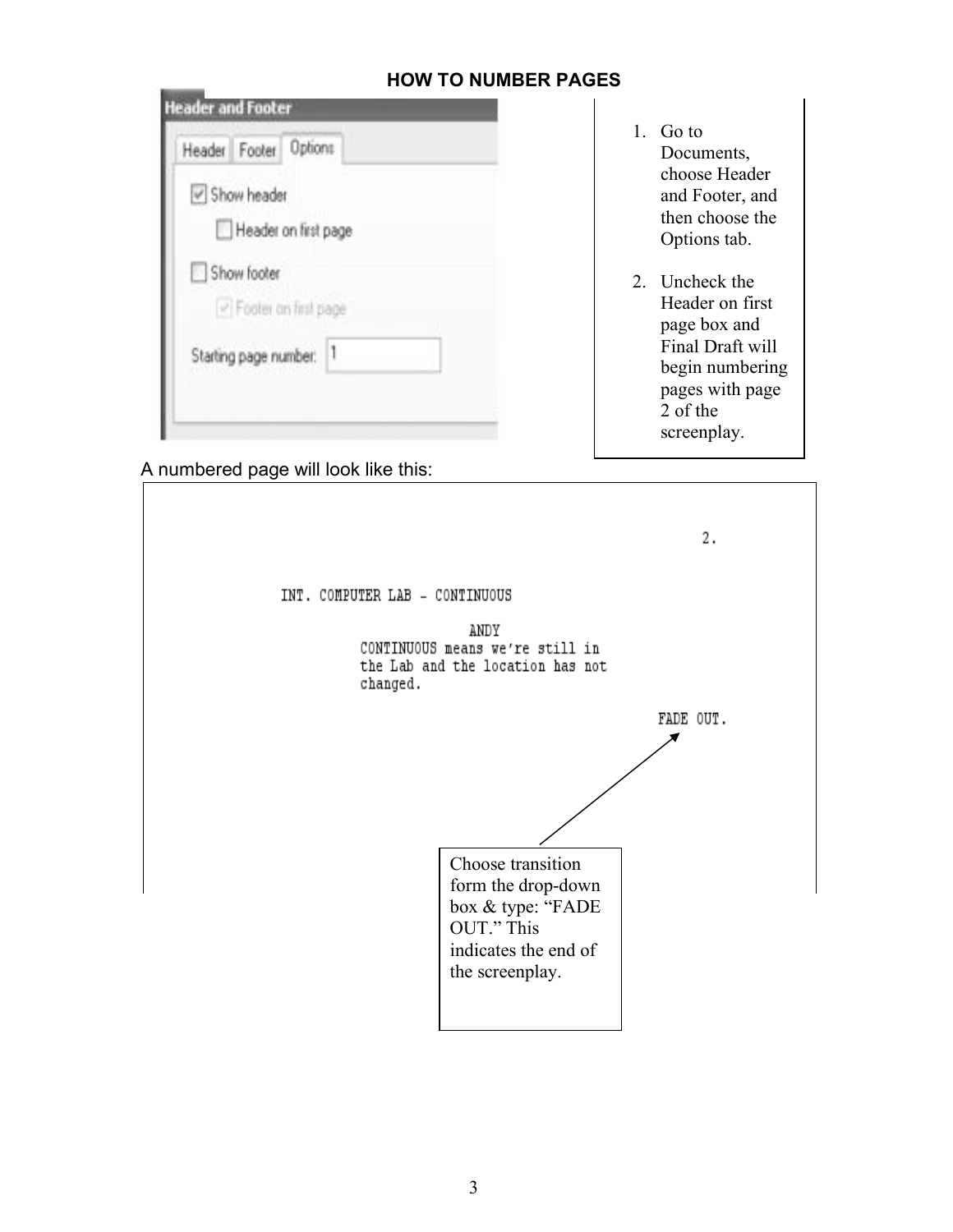| Header Footer Options  |                |
|------------------------|----------------|
| Show header            |                |
| Header on first page   |                |
| Show footer            |                |
| P Footer on first page |                |
| Starting page number:  | $\mathbb{I}$ . |

- **HOW TO NUMBER PAGES**
- 1. Go to Documents, choose Header and Footer, and then choose the Options tab.
- 2. Uncheck the Header on first page box and Final Draft will begin numbering pages with page 2 of the screenplay.

A numbered page will look like this:

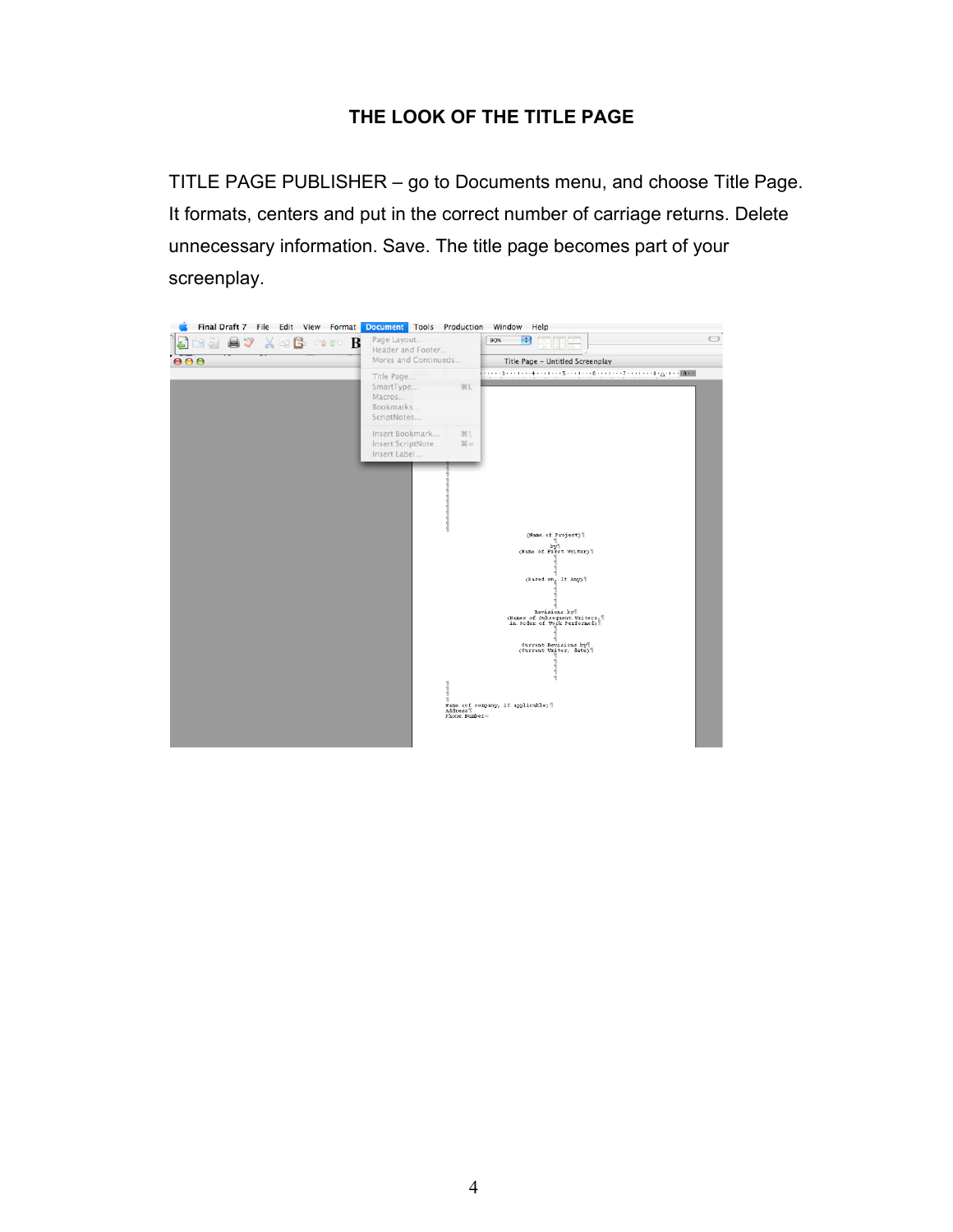## **THE LOOK OF THE TITLE PAGE**

TITLE PAGE PUBLISHER – go to Documents menu, and choose Title Page. It formats, centers and put in the correct number of carriage returns. Delete unnecessary information. Save. The title page becomes part of your screenplay.

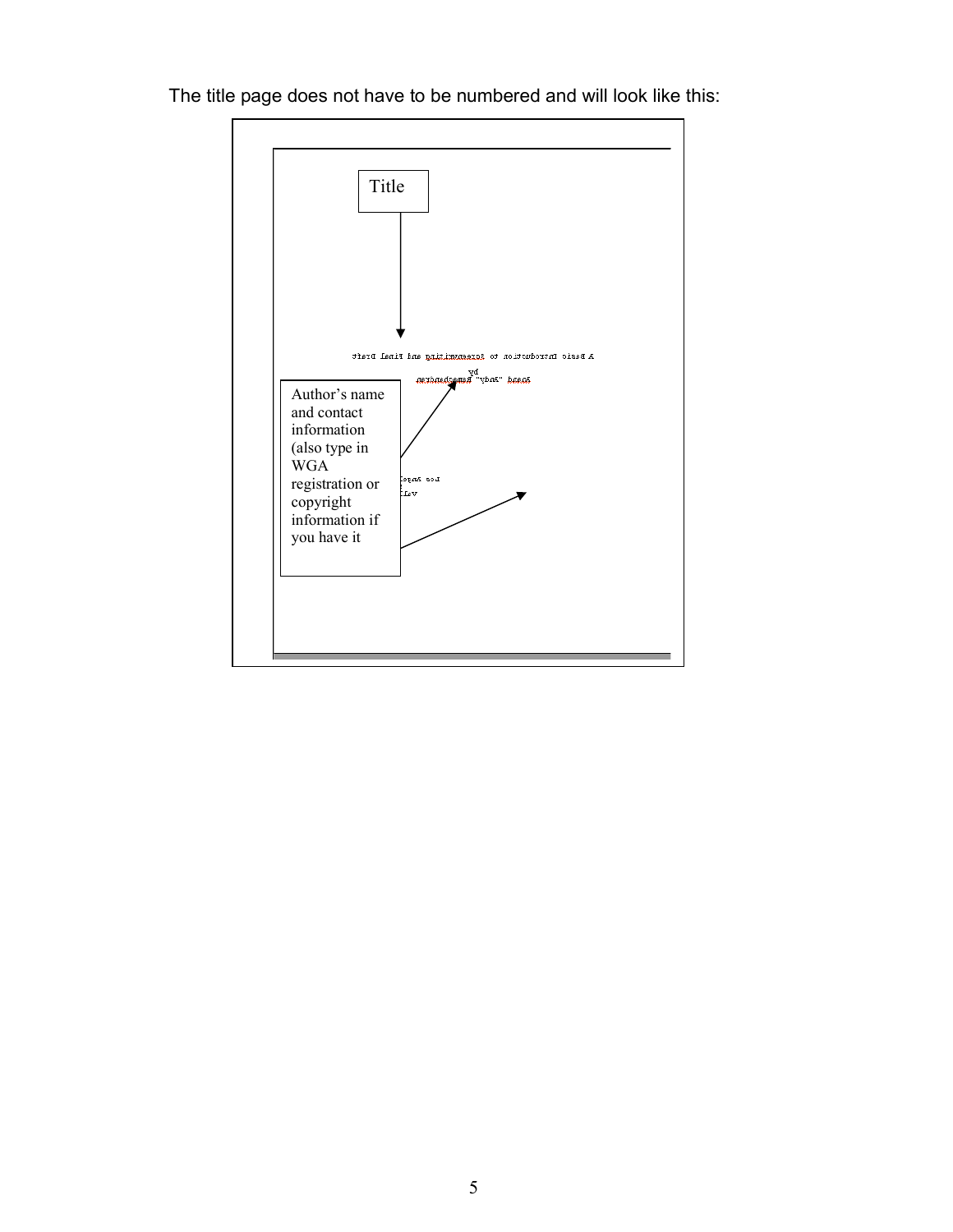

The title page does not have to be numbered and will look like this: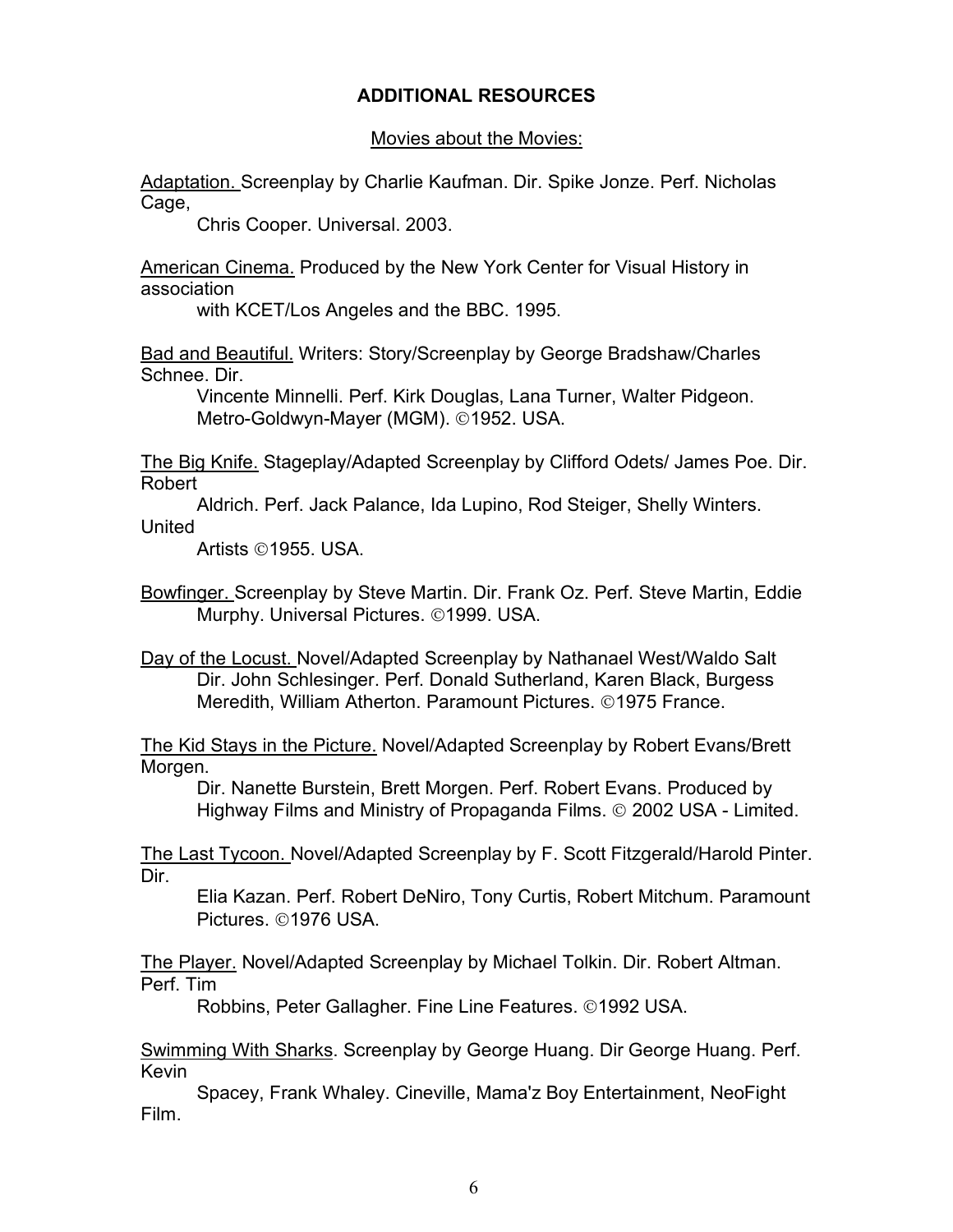## **ADDITIONAL RESOURCES**

#### Movies about the Movies:

Adaptation. Screenplay by Charlie Kaufman. Dir. Spike Jonze. Perf. Nicholas Cage,

Chris Cooper. Universal. 2003.

American Cinema. Produced by the New York Center for Visual History in association

with KCET/Los Angeles and the BBC. 1995.

Bad and Beautiful. Writers: Story/Screenplay by George Bradshaw/Charles Schnee. Dir.

Vincente Minnelli. Perf. Kirk Douglas, Lana Turner, Walter Pidgeon. Metro-Goldwyn-Mayer (MGM). ©1952. USA.

The Big Knife. Stageplay/Adapted Screenplay by Clifford Odets/ James Poe. Dir. Robert

Aldrich. Perf. Jack Palance, Ida Lupino, Rod Steiger, Shelly Winters. United

Artists ©1955. USA.

Bowfinger. Screenplay by Steve Martin. Dir. Frank Oz. Perf. Steve Martin, Eddie Murphy. Universal Pictures. ©1999. USA.

Day of the Locust. Novel/Adapted Screenplay by Nathanael West/Waldo Salt Dir. John Schlesinger. Perf. Donald Sutherland, Karen Black, Burgess Meredith, William Atherton. Paramount Pictures. ©1975 France.

The Kid Stays in the Picture. Novel/Adapted Screenplay by Robert Evans/Brett Morgen.

Dir. Nanette Burstein, Brett Morgen. Perf. Robert Evans. Produced by Highway Films and Ministry of Propaganda Films. © 2002 USA - Limited.

The Last Tycoon. Novel/Adapted Screenplay by F. Scott Fitzgerald/Harold Pinter. Dir.

Elia Kazan. Perf. Robert DeNiro, Tony Curtis, Robert Mitchum. Paramount Pictures. ©1976 USA.

The Player. Novel/Adapted Screenplay by Michael Tolkin. Dir. Robert Altman. Perf. Tim

Robbins, Peter Gallagher. Fine Line Features. ©1992 USA.

Swimming With Sharks. Screenplay by George Huang. Dir George Huang. Perf. Kevin

Spacey, Frank Whaley. Cineville, Mama'z Boy Entertainment, NeoFight Film.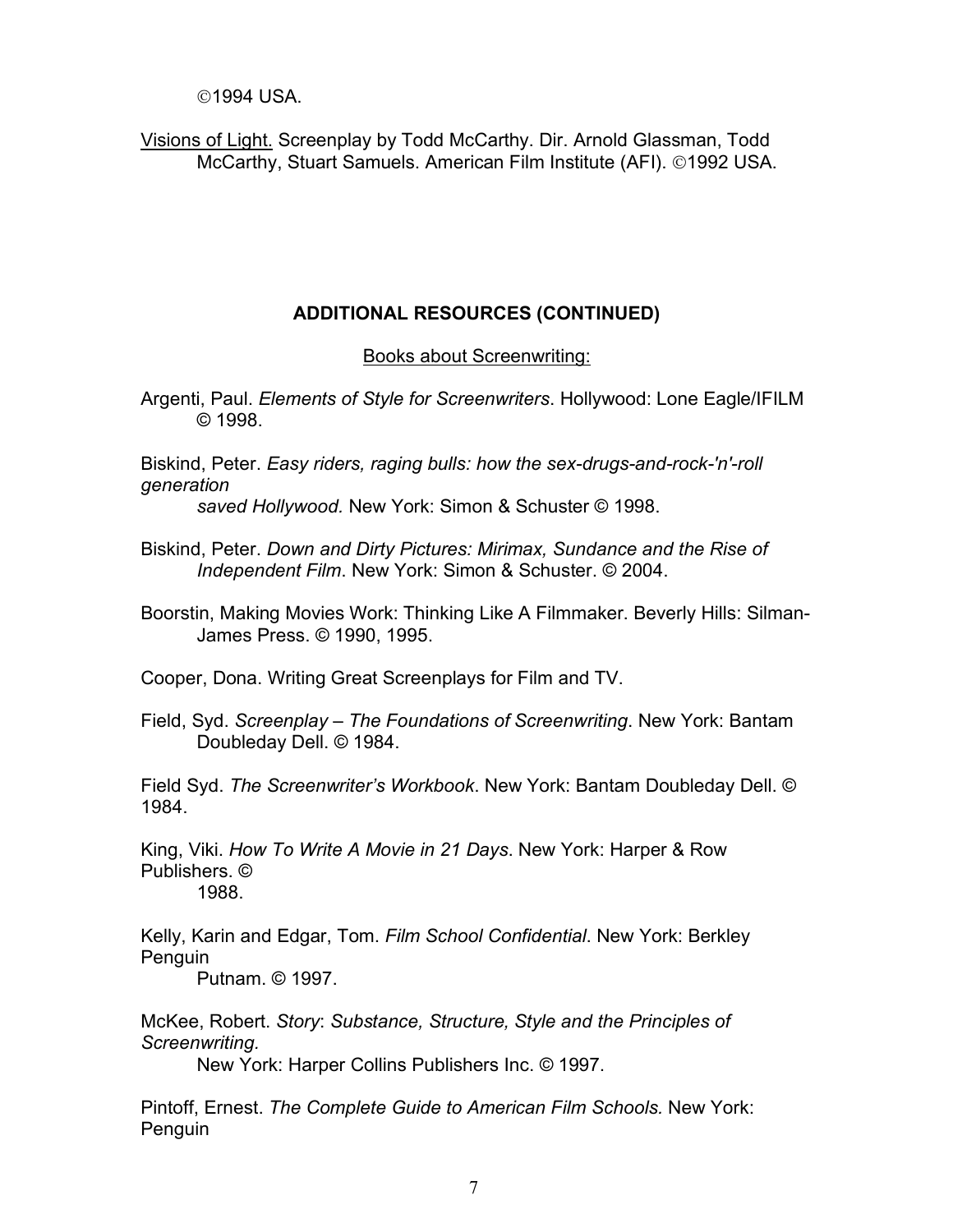©1994 USA.

Visions of Light. Screenplay by Todd McCarthy. Dir. Arnold Glassman, Todd McCarthy, Stuart Samuels. American Film Institute (AFI). ©1992 USA.

### **ADDITIONAL RESOURCES (CONTINUED)**

Books about Screenwriting:

Argenti, Paul. *Elements of Style for Screenwriters*. Hollywood: Lone Eagle/IFILM © 1998.

Biskind, Peter. *Easy riders, raging bulls: how the sex-drugs-and-rock-'n'-roll generation* 

*saved Hollywood.* New York: Simon & Schuster © 1998.

- Biskind, Peter. *Down and Dirty Pictures: Mirimax, Sundance and the Rise of Independent Film*. New York: Simon & Schuster. © 2004.
- Boorstin, Making Movies Work: Thinking Like A Filmmaker. Beverly Hills: Silman-James Press. © 1990, 1995.

Cooper, Dona. Writing Great Screenplays for Film and TV.

Field, Syd. *Screenplay – The Foundations of Screenwriting*. New York: Bantam Doubleday Dell. © 1984.

Field Syd. *The Screenwriter's Workbook*. New York: Bantam Doubleday Dell. © 1984.

King, Viki. *How To Write A Movie in 21 Days*. New York: Harper & Row Publishers. ©

1988.

Kelly, Karin and Edgar, Tom. *Film School Confidential*. New York: Berkley Penguin

Putnam. © 1997.

McKee, Robert. *Story*: *Substance, Structure, Style and the Principles of Screenwriting.*

New York: Harper Collins Publishers Inc. © 1997.

Pintoff, Ernest. *The Complete Guide to American Film Schools.* New York: Penguin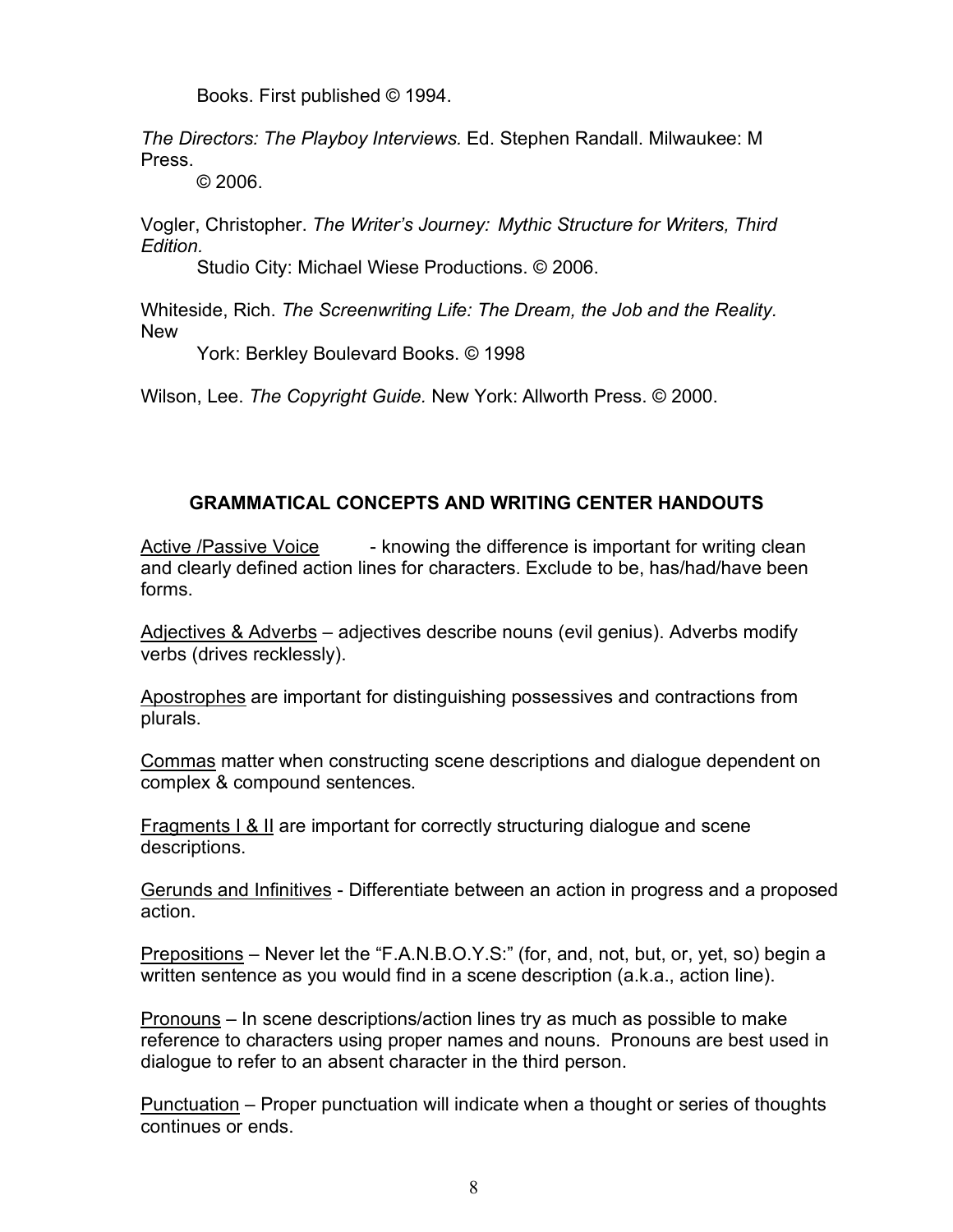Books. First published © 1994.

*The Directors: The Playboy Interviews.* Ed. Stephen Randall. Milwaukee: M Press.

© 2006.

Vogler, Christopher. *The Writer's Journey: Mythic Structure for Writers, Third Edition.*

Studio City: Michael Wiese Productions. © 2006.

Whiteside, Rich. *The Screenwriting Life: The Dream, the Job and the Reality.* New

York: Berkley Boulevard Books. © 1998

Wilson, Lee. *The Copyright Guide.* New York: Allworth Press. © 2000.

## **GRAMMATICAL CONCEPTS AND WRITING CENTER HANDOUTS**

Active /Passive Voice - knowing the difference is important for writing clean and clearly defined action lines for characters. Exclude to be, has/had/have been forms.

Adjectives & Adverbs - adjectives describe nouns (evil genius). Adverbs modify verbs (drives recklessly).

Apostrophes are important for distinguishing possessives and contractions from plurals.

Commas matter when constructing scene descriptions and dialogue dependent on complex & compound sentences.

Fragments I & II are important for correctly structuring dialogue and scene descriptions.

Gerunds and Infinitives - Differentiate between an action in progress and a proposed action.

Prepositions – Never let the "F.A.N.B.O.Y.S:" (for, and, not, but, or, yet, so) begin a written sentence as you would find in a scene description (a.k.a., action line).

Pronouns – In scene descriptions/action lines try as much as possible to make reference to characters using proper names and nouns. Pronouns are best used in dialogue to refer to an absent character in the third person.

Punctuation – Proper punctuation will indicate when a thought or series of thoughts continues or ends.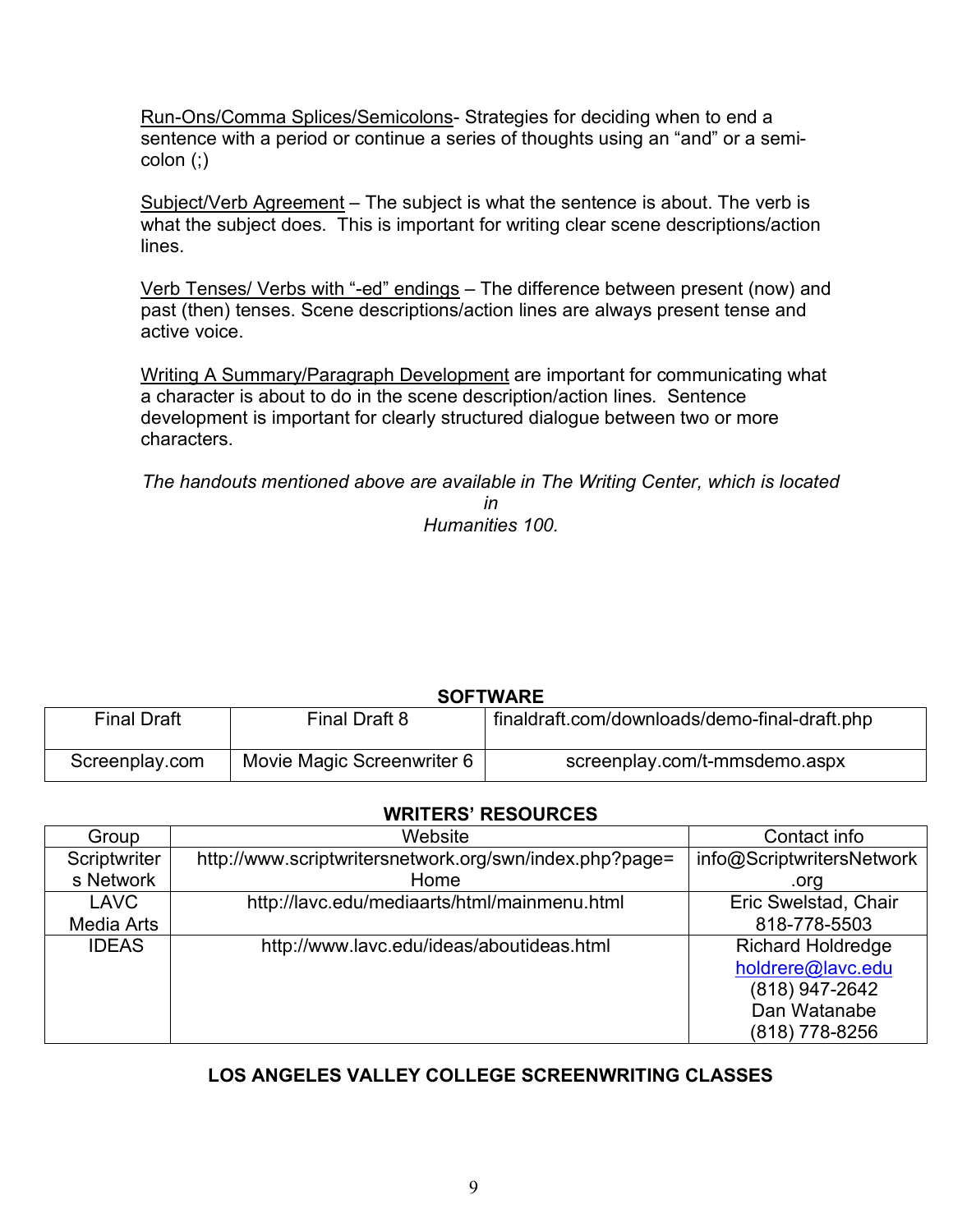Run-Ons/Comma Splices/Semicolons- Strategies for deciding when to end a sentence with a period or continue a series of thoughts using an "and" or a semicolon (;)

Subject/Verb Agreement - The subject is what the sentence is about. The verb is what the subject does. This is important for writing clear scene descriptions/action lines.

Verb Tenses/ Verbs with "-ed" endings – The difference between present (now) and past (then) tenses. Scene descriptions/action lines are always present tense and active voice.

Writing A Summary/Paragraph Development are important for communicating what a character is about to do in the scene description/action lines. Sentence development is important for clearly structured dialogue between two or more characters.

*The handouts mentioned above are available in The Writing Center, which is located* 

*in Humanities 100.*

| <b>SOFTWARE</b>    |                            |                                               |  |  |
|--------------------|----------------------------|-----------------------------------------------|--|--|
| <b>Final Draft</b> | Final Draft 8              | finaldraft.com/downloads/demo-final-draft.php |  |  |
| Screenplay.com     | Movie Magic Screenwriter 6 | screenplay.com/t-mmsdemo.aspx                 |  |  |

# **SOFTWARE**

### **WRITERS' RESOURCES**

| Group        | Website                                                 | Contact info              |
|--------------|---------------------------------------------------------|---------------------------|
| Scriptwriter | http://www.scriptwritersnetwork.org/swn/index.php?page= | info@ScriptwritersNetwork |
| s Network    | Home                                                    | .org                      |
| <b>LAVC</b>  | http://lavc.edu/mediaarts/html/mainmenu.html            | Eric Swelstad, Chair      |
| Media Arts   |                                                         | 818-778-5503              |
| <b>IDEAS</b> | http://www.lavc.edu/ideas/aboutideas.html               | <b>Richard Holdredge</b>  |
|              |                                                         | holdrere@lavc.edu         |
|              |                                                         | (818) 947-2642            |
|              |                                                         | Dan Watanabe              |
|              |                                                         | (818) 778-8256            |

## **LOS ANGELES VALLEY COLLEGE SCREENWRITING CLASSES**